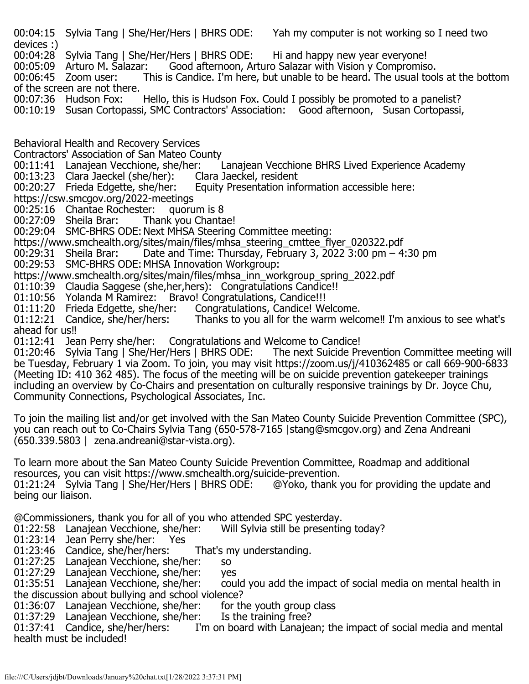00:04:15 Sylvia Tang | She/Her/Hers | BHRS ODE: Yah my computer is not working so I need two devices :)

00:04:28 Sylvia Tang | She/Her/Hers | BHRS ODE: Hi and happy new year everyone!<br>00:05:09 Arturo M. Salazar: Good afternoon, Arturo Salazar with Vision y Compromise

00:05:09 Arturo M. Salazar: Good afternoon, Arturo Salazar with Vision y Compromiso.<br>00:06:45 Zoom user: This is Candice. I'm here, but unable to be heard. The usual tool

This is Candice. I'm here, but unable to be heard. The usual tools at the bottom of the screen are not there.<br>00:07:36 Hudson Fox:

Hello, this is Hudson Fox. Could I possibly be promoted to a panelist?

00:10:19 Susan Cortopassi, SMC Contractors' Association: Good afternoon, Susan Cortopassi,

Behavioral Health and Recovery Services

Contractors' Association of San Mateo County<br>00:11:41 Lanajean Vecchione, she/her:

r: Lanajean Vecchione BHRS Lived Experience Academy<br>Clara Jaeckel, resident

- 00:13:23 Clara Jaeckel (she/her):<br>00:20:27 Frieda Edgette, she/her:
- Equity Presentation information accessible here:
- 

https://csw.smcgov.org/2022-meetings<br>00:25:16 Chantae Rochester: quorum is 8 00:25:16 Chantae Rochester: quorum is 8<br>00:27:09 Sheila Brar: Thank you Chantae!

00:27:09 Sheila Brar:

00:29:04 SMC-BHRS ODE: Next MHSA Steering Committee meeting:

https://www.smchealth.org/sites/main/files/mhsa\_steering\_cmttee\_flyer\_020322.pdf<br>00:29:31 Sheila Brar: Date and Time: Thursdav, February 3, 2022 3:00 pm – 4

Date and Time: Thursday, February 3, 2022 3:00 pm  $-4:30$  pm

00:29:53 SMC-BHRS ODE: MHSA Innovation Workgroup:

https://www.smchealth.org/sites/main/files/mhsa\_inn\_workgroup\_spring\_2022.pdf

01:10:39 Claudia Saggese (she,her,hers): Congratulations Candice!!

01:10:56 Yolanda M Ramirez: Bravo! Congratulations, Candice!!!<br>01:11:20 Frieda Edgette, she/her: Congratulations, Candice! Welcome. 01:11:20 Frieda Edgette, she/her:<br>01:12:21 Candice, she/her/hers:

Thanks to you all for the warm welcome!! I'm anxious to see what's ahead for us‼

01:12:41 Jean Perry she/her: Congratulations and Welcome to Candice!<br>01:20:46 Sylvia Tang | She/Her/Hers | BHRS ODE: The next Suicide Pr The next Suicide Prevention Committee meeting will be Tuesday, February 1 via Zoom. To join, you may visit https://zoom.us/j/410362485 or call 669-900-6833 (Meeting ID: 410 362 485). The focus of the meeting will be on suicide prevention gatekeeper trainings including an overview by Co-Chairs and presentation on culturally responsive trainings by Dr. Joyce Chu, Community Connections, Psychological Associates, Inc.

To join the mailing list and/or get involved with the San Mateo County Suicide Prevention Committee (SPC), you can reach out to Co-Chairs Sylvia Tang (650-578-7165 |stang@smcgov.org) and Zena Andreani (650.339.5803 | zena.andreani@star-vista.org).

To learn more about the San Mateo County Suicide Prevention Committee, Roadmap and additional resources, you can visit https://www.smchealth.org/suicide-prevention.<br>01:21:24 Sylvia Tang | She/Her/Hers | BHRS ODE: @Yoko, thank you for providing the update and

01:21:24 Sylvia Tang | She/Her/Hers | BHRS ODE: being our liaison.

@Commissioners, thank you for all of you who attended SPC yesterday. 01:22:58 Lanajean Vecchione, she/her:<br>01:23:14 Jean Perry she/her: Yes

 $01:23:14$  Jean Perry she/her:

01:23:46 Candice, she/her/hers: That's my understanding.

01:27:25 Lanajean Vecchione, she/her: so

01:27:29 Lanajean Vecchione, she/her: yes<br>01:35:51 Lanajean Vecchione, she/her: cou could you add the impact of social media on mental health in the discussion about bullying and school violence?<br>01:36:07 Lanajean Vecchione, she/her: for the youth group class

01:36:07 Lanajean Vecchione, she/her: for the youth group 01:37:29 Lanajean Vecchione, she/her: Is the training free?

01:37:29 Lanajean Vecchione, she/her:<br>01:37:41 Candice, she/her/hers: I'

I'm on board with Lanajean; the impact of social media and mental health must be included!